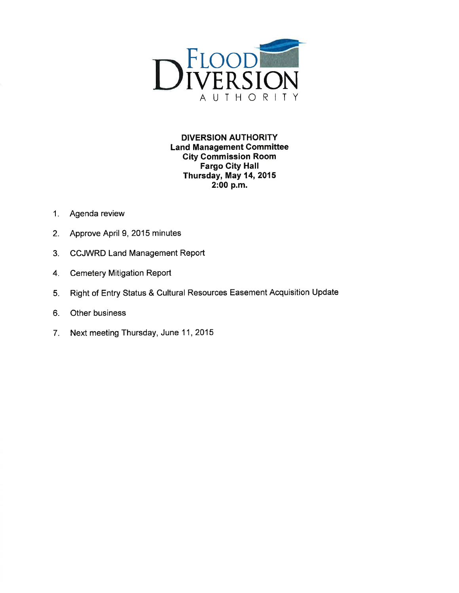

**DIVERSION AUTHORITY Land Management Committee City Commission Room Fargo City Hall** Thursday, May 14, 2015 2:00 p.m.

- $1<sub>1</sub>$ Agenda review
- Approve April 9, 2015 minutes  $2.$
- $3.$ **CCJWRD Land Management Report**
- **Cemetery Mitigation Report** 4.
- Right of Entry Status & Cultural Resources Easement Acquisition Update 5.
- 6. Other business
- Next meeting Thursday, June 11, 2015 7.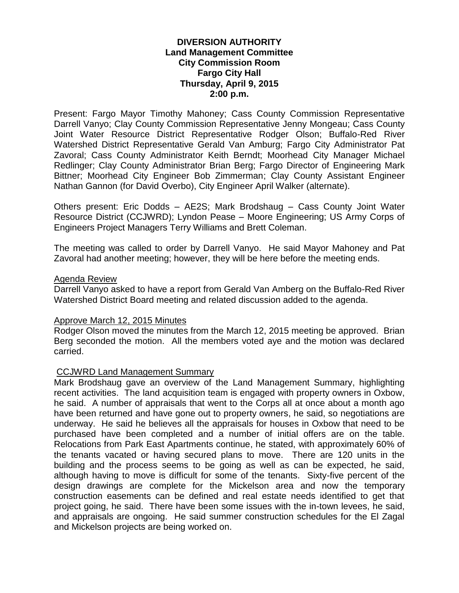# **DIVERSION AUTHORITY Land Management Committee City Commission Room Fargo City Hall Thursday, April 9, 2015 2:00 p.m.**

Present: Fargo Mayor Timothy Mahoney; Cass County Commission Representative Darrell Vanyo; Clay County Commission Representative Jenny Mongeau; Cass County Joint Water Resource District Representative Rodger Olson; Buffalo-Red River Watershed District Representative Gerald Van Amburg; Fargo City Administrator Pat Zavoral; Cass County Administrator Keith Berndt; Moorhead City Manager Michael Redlinger; Clay County Administrator Brian Berg; Fargo Director of Engineering Mark Bittner; Moorhead City Engineer Bob Zimmerman; Clay County Assistant Engineer Nathan Gannon (for David Overbo), City Engineer April Walker (alternate).

Others present: Eric Dodds – AE2S; Mark Brodshaug – Cass County Joint Water Resource District (CCJWRD); Lyndon Pease – Moore Engineering; US Army Corps of Engineers Project Managers Terry Williams and Brett Coleman.

The meeting was called to order by Darrell Vanyo. He said Mayor Mahoney and Pat Zavoral had another meeting; however, they will be here before the meeting ends.

### Agenda Review

Darrell Vanyo asked to have a report from Gerald Van Amberg on the Buffalo-Red River Watershed District Board meeting and related discussion added to the agenda.

### Approve March 12, 2015 Minutes

Rodger Olson moved the minutes from the March 12, 2015 meeting be approved. Brian Berg seconded the motion. All the members voted aye and the motion was declared carried.

### CCJWRD Land Management Summary

Mark Brodshaug gave an overview of the Land Management Summary, highlighting recent activities. The land acquisition team is engaged with property owners in Oxbow, he said. A number of appraisals that went to the Corps all at once about a month ago have been returned and have gone out to property owners, he said, so negotiations are underway. He said he believes all the appraisals for houses in Oxbow that need to be purchased have been completed and a number of initial offers are on the table. Relocations from Park East Apartments continue, he stated, with approximately 60% of the tenants vacated or having secured plans to move. There are 120 units in the building and the process seems to be going as well as can be expected, he said, although having to move is difficult for some of the tenants. Sixty-five percent of the design drawings are complete for the Mickelson area and now the temporary construction easements can be defined and real estate needs identified to get that project going, he said. There have been some issues with the in-town levees, he said, and appraisals are ongoing. He said summer construction schedules for the El Zagal and Mickelson projects are being worked on.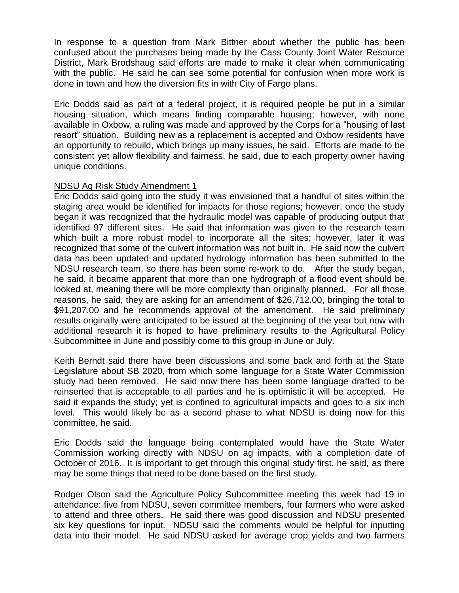In response to a question from Mark Bittner about whether the public has been confused about the purchases being made by the Cass County Joint Water Resource District, Mark Brodshaug said efforts are made to make it clear when communicating with the public. He said he can see some potential for confusion when more work is done in town and how the diversion fits in with City of Fargo plans.

Eric Dodds said as part of a federal project, it is required people be put in a similar housing situation, which means finding comparable housing; however, with none available in Oxbow, a ruling was made and approved by the Corps for a "housing of last resort" situation. Building new as a replacement is accepted and Oxbow residents have an opportunity to rebuild, which brings up many issues, he said. Efforts are made to be consistent yet allow flexibility and fairness, he said, due to each property owner having unique conditions.

### NDSU Ag Risk Study Amendment 1

Eric Dodds said going into the study it was envisioned that a handful of sites within the staging area would be identified for impacts for those regions; however, once the study began it was recognized that the hydraulic model was capable of producing output that identified 97 different sites. He said that information was given to the research team which built a more robust model to incorporate all the sites; however, later it was recognized that some of the culvert information was not built in. He said now the culvert data has been updated and updated hydrology information has been submitted to the NDSU research team, so there has been some re-work to do. After the study began, he said, it became apparent that more than one hydrograph of a flood event should be looked at, meaning there will be more complexity than originally planned. For all those reasons, he said, they are asking for an amendment of \$26,712.00, bringing the total to \$91,207.00 and he recommends approval of the amendment. He said preliminary results originally were anticipated to be issued at the beginning of the year but now with additional research it is hoped to have preliminary results to the Agricultural Policy Subcommittee in June and possibly come to this group in June or July.

Keith Berndt said there have been discussions and some back and forth at the State Legislature about SB 2020, from which some language for a State Water Commission study had been removed. He said now there has been some language drafted to be reinserted that is acceptable to all parties and he is optimistic it will be accepted. He said it expands the study; yet is confined to agricultural impacts and goes to a six inch level. This would likely be as a second phase to what NDSU is doing now for this committee, he said.

Eric Dodds said the language being contemplated would have the State Water Commission working directly with NDSU on ag impacts, with a completion date of October of 2016. It is important to get through this original study first, he said, as there may be some things that need to be done based on the first study.

Rodger Olson said the Agriculture Policy Subcommittee meeting this week had 19 in attendance: five from NDSU, seven committee members, four farmers who were asked to attend and three others. He said there was good discussion and NDSU presented six key questions for input. NDSU said the comments would be helpful for inputting data into their model. He said NDSU asked for average crop yields and two farmers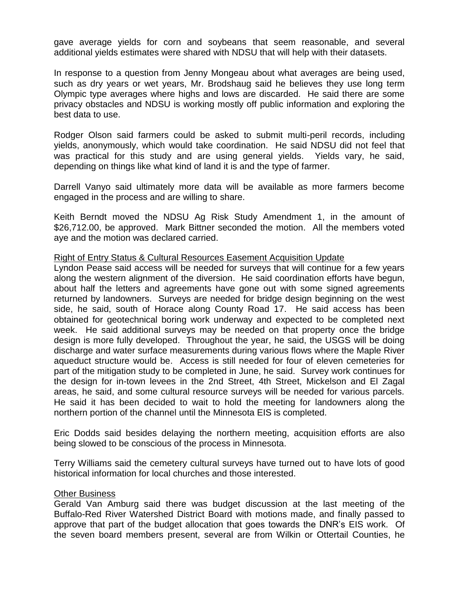gave average yields for corn and soybeans that seem reasonable, and several additional yields estimates were shared with NDSU that will help with their datasets.

In response to a question from Jenny Mongeau about what averages are being used, such as dry years or wet years, Mr. Brodshaug said he believes they use long term Olympic type averages where highs and lows are discarded. He said there are some privacy obstacles and NDSU is working mostly off public information and exploring the best data to use.

Rodger Olson said farmers could be asked to submit multi-peril records, including yields, anonymously, which would take coordination. He said NDSU did not feel that was practical for this study and are using general yields. Yields vary, he said, depending on things like what kind of land it is and the type of farmer.

Darrell Vanyo said ultimately more data will be available as more farmers become engaged in the process and are willing to share.

Keith Berndt moved the NDSU Ag Risk Study Amendment 1, in the amount of \$26,712.00, be approved. Mark Bittner seconded the motion. All the members voted aye and the motion was declared carried.

## Right of Entry Status & Cultural Resources Easement Acquisition Update

Lyndon Pease said access will be needed for surveys that will continue for a few years along the western alignment of the diversion. He said coordination efforts have begun, about half the letters and agreements have gone out with some signed agreements returned by landowners. Surveys are needed for bridge design beginning on the west side, he said, south of Horace along County Road 17. He said access has been obtained for geotechnical boring work underway and expected to be completed next week. He said additional surveys may be needed on that property once the bridge design is more fully developed. Throughout the year, he said, the USGS will be doing discharge and water surface measurements during various flows where the Maple River aqueduct structure would be. Access is still needed for four of eleven cemeteries for part of the mitigation study to be completed in June, he said. Survey work continues for the design for in-town levees in the 2nd Street, 4th Street, Mickelson and El Zagal areas, he said, and some cultural resource surveys will be needed for various parcels. He said it has been decided to wait to hold the meeting for landowners along the northern portion of the channel until the Minnesota EIS is completed.

Eric Dodds said besides delaying the northern meeting, acquisition efforts are also being slowed to be conscious of the process in Minnesota.

Terry Williams said the cemetery cultural surveys have turned out to have lots of good historical information for local churches and those interested.

### Other Business

Gerald Van Amburg said there was budget discussion at the last meeting of the Buffalo-Red River Watershed District Board with motions made, and finally passed to approve that part of the budget allocation that goes towards the DNR's EIS work. Of the seven board members present, several are from Wilkin or Ottertail Counties, he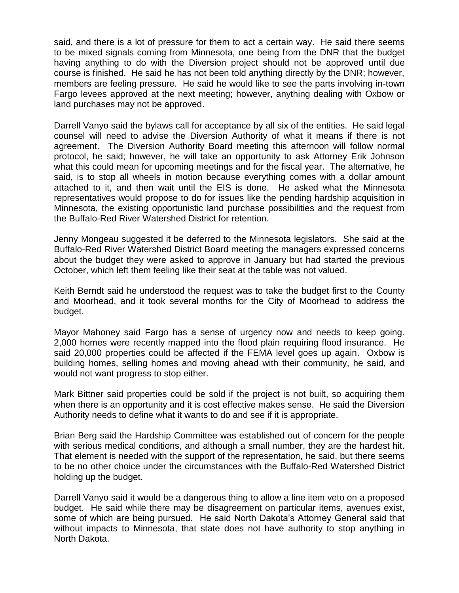said, and there is a lot of pressure for them to act a certain way. He said there seems to be mixed signals coming from Minnesota, one being from the DNR that the budget having anything to do with the Diversion project should not be approved until due course is finished. He said he has not been told anything directly by the DNR; however, members are feeling pressure. He said he would like to see the parts involving in-town Fargo levees approved at the next meeting; however, anything dealing with Oxbow or land purchases may not be approved.

Darrell Vanyo said the bylaws call for acceptance by all six of the entities. He said legal counsel will need to advise the Diversion Authority of what it means if there is not agreement. The Diversion Authority Board meeting this afternoon will follow normal protocol, he said; however, he will take an opportunity to ask Attorney Erik Johnson what this could mean for upcoming meetings and for the fiscal year. The alternative, he said, is to stop all wheels in motion because everything comes with a dollar amount attached to it, and then wait until the EIS is done. He asked what the Minnesota representatives would propose to do for issues like the pending hardship acquisition in Minnesota, the existing opportunistic land purchase possibilities and the request from the Buffalo-Red River Watershed District for retention.

Jenny Mongeau suggested it be deferred to the Minnesota legislators. She said at the Buffalo-Red River Watershed District Board meeting the managers expressed concerns about the budget they were asked to approve in January but had started the previous October, which left them feeling like their seat at the table was not valued.

Keith Berndt said he understood the request was to take the budget first to the County and Moorhead, and it took several months for the City of Moorhead to address the budget.

Mayor Mahoney said Fargo has a sense of urgency now and needs to keep going. 2,000 homes were recently mapped into the flood plain requiring flood insurance. He said 20,000 properties could be affected if the FEMA level goes up again. Oxbow is building homes, selling homes and moving ahead with their community, he said, and would not want progress to stop either.

Mark Bittner said properties could be sold if the project is not built, so acquiring them when there is an opportunity and it is cost effective makes sense. He said the Diversion Authority needs to define what it wants to do and see if it is appropriate.

Brian Berg said the Hardship Committee was established out of concern for the people with serious medical conditions, and although a small number, they are the hardest hit. That element is needed with the support of the representation, he said, but there seems to be no other choice under the circumstances with the Buffalo-Red Watershed District holding up the budget.

Darrell Vanyo said it would be a dangerous thing to allow a line item veto on a proposed budget. He said while there may be disagreement on particular items, avenues exist, some of which are being pursued. He said North Dakota's Attorney General said that without impacts to Minnesota, that state does not have authority to stop anything in North Dakota.